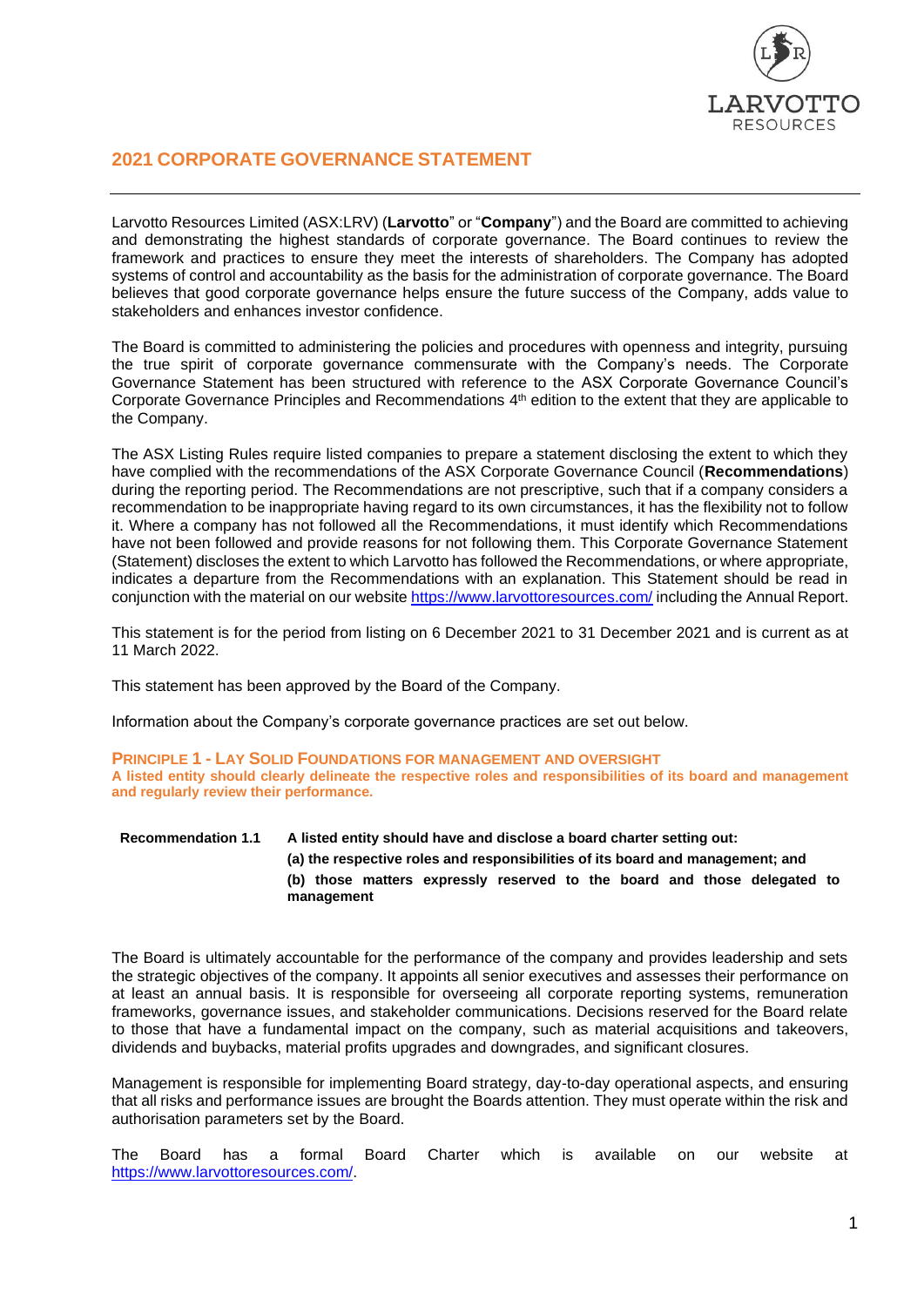

# **2021 CORPORATE GOVERNANCE STATEMENT**

Larvotto Resources Limited (ASX:LRV) (**Larvotto**" or "**Company**") and the Board are committed to achieving and demonstrating the highest standards of corporate governance. The Board continues to review the framework and practices to ensure they meet the interests of shareholders. The Company has adopted systems of control and accountability as the basis for the administration of corporate governance. The Board believes that good corporate governance helps ensure the future success of the Company, adds value to stakeholders and enhances investor confidence.

The Board is committed to administering the policies and procedures with openness and integrity, pursuing the true spirit of corporate governance commensurate with the Company's needs. The Corporate Governance Statement has been structured with reference to the ASX Corporate Governance Council's Corporate Governance Principles and Recommendations 4<sup>th</sup> edition to the extent that they are applicable to the Company.

The ASX Listing Rules require listed companies to prepare a statement disclosing the extent to which they have complied with the recommendations of the ASX Corporate Governance Council (**Recommendations**) during the reporting period. The Recommendations are not prescriptive, such that if a company considers a recommendation to be inappropriate having regard to its own circumstances, it has the flexibility not to follow it. Where a company has not followed all the Recommendations, it must identify which Recommendations have not been followed and provide reasons for not following them. This Corporate Governance Statement (Statement) discloses the extent to which Larvotto has followed the Recommendations, or where appropriate, indicates a departure from the Recommendations with an explanation. This Statement should be read in conjunction with the material on our website<https://www.larvottoresources.com/> including the Annual Report.

This statement is for the period from listing on 6 December 2021 to 31 December 2021 and is current as at 11 March 2022.

This statement has been approved by the Board of the Company.

Information about the Company's corporate governance practices are set out below.

**PRINCIPLE 1 - LAY SOLID FOUNDATIONS FOR MANAGEMENT AND OVERSIGHT A listed entity should clearly delineate the respective roles and responsibilities of its board and management and regularly review their performance.**

# **Recommendation 1.1 A listed entity should have and disclose a board charter setting out: (a) the respective roles and responsibilities of its board and management; and (b) those matters expressly reserved to the board and those delegated to management**

The Board is ultimately accountable for the performance of the company and provides leadership and sets the strategic objectives of the company. It appoints all senior executives and assesses their performance on at least an annual basis. It is responsible for overseeing all corporate reporting systems, remuneration frameworks, governance issues, and stakeholder communications. Decisions reserved for the Board relate to those that have a fundamental impact on the company, such as material acquisitions and takeovers, dividends and buybacks, material profits upgrades and downgrades, and significant closures.

Management is responsible for implementing Board strategy, day-to-day operational aspects, and ensuring that all risks and performance issues are brought the Boards attention. They must operate within the risk and authorisation parameters set by the Board.

The Board has a formal Board Charter which is available on our website at [https://www.larvottoresources.com/.](https://www.larvottoresources.com/)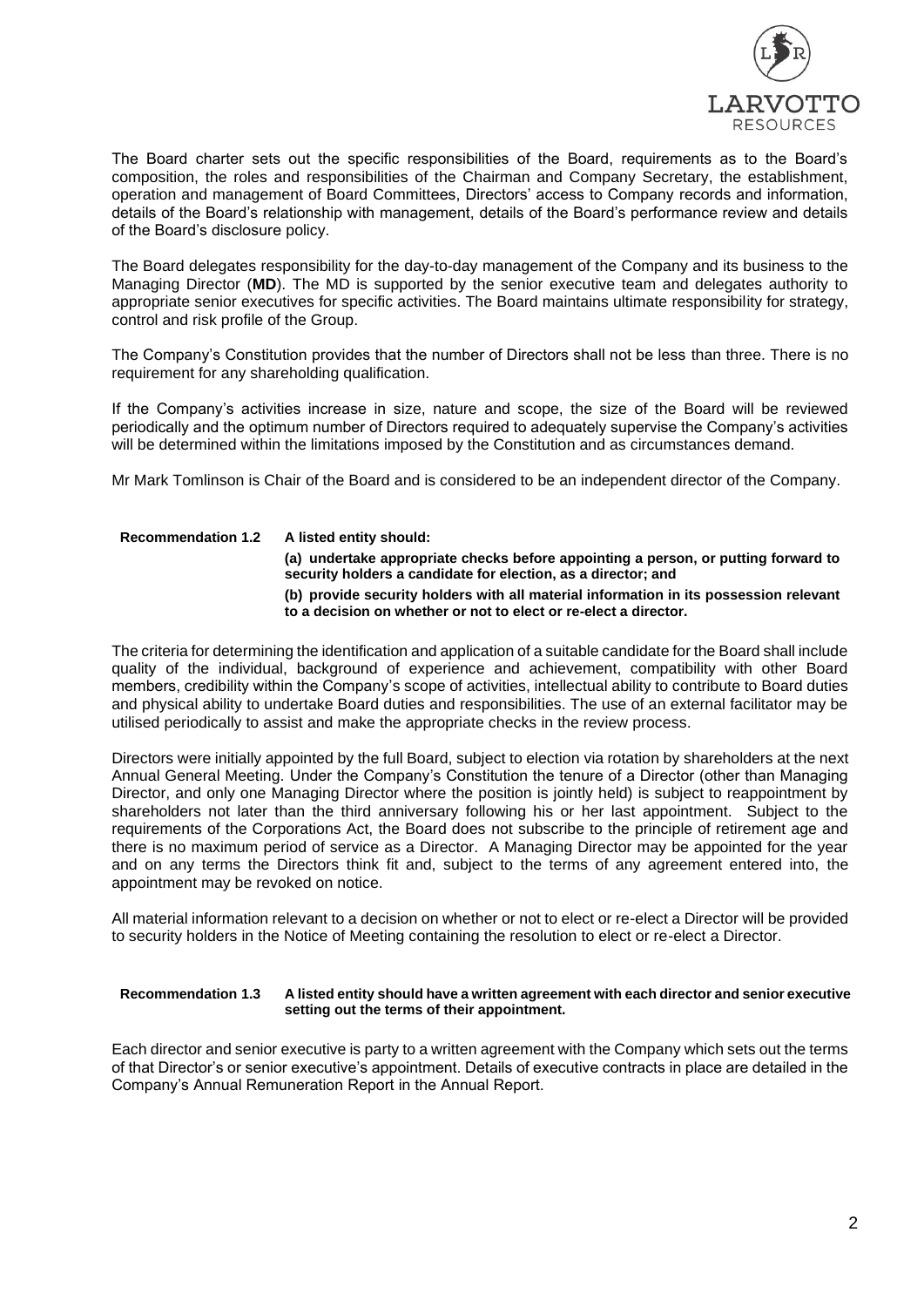

The Board charter sets out the specific responsibilities of the Board, requirements as to the Board's composition, the roles and responsibilities of the Chairman and Company Secretary, the establishment, operation and management of Board Committees, Directors' access to Company records and information, details of the Board's relationship with management, details of the Board's performance review and details of the Board's disclosure policy.

The Board delegates responsibility for the day-to-day management of the Company and its business to the Managing Director (**MD**). The MD is supported by the senior executive team and delegates authority to appropriate senior executives for specific activities. The Board maintains ultimate responsibility for strategy, control and risk profile of the Group.

The Company's Constitution provides that the number of Directors shall not be less than three. There is no requirement for any shareholding qualification.

If the Company's activities increase in size, nature and scope, the size of the Board will be reviewed periodically and the optimum number of Directors required to adequately supervise the Company's activities will be determined within the limitations imposed by the Constitution and as circumstances demand.

Mr Mark Tomlinson is Chair of the Board and is considered to be an independent director of the Company.

# **Recommendation 1.2 A listed entity should:**

**(a) undertake appropriate checks before appointing a person, or putting forward to security holders a candidate for election, as a director; and (b) provide security holders with all material information in its possession relevant to a decision on whether or not to elect or re-elect a director.**

The criteria for determining the identification and application of a suitable candidate for the Board shall include quality of the individual, background of experience and achievement, compatibility with other Board members, credibility within the Company's scope of activities, intellectual ability to contribute to Board duties and physical ability to undertake Board duties and responsibilities. The use of an external facilitator may be utilised periodically to assist and make the appropriate checks in the review process.

Directors were initially appointed by the full Board, subject to election via rotation by shareholders at the next Annual General Meeting. Under the Company's Constitution the tenure of a Director (other than Managing Director, and only one Managing Director where the position is jointly held) is subject to reappointment by shareholders not later than the third anniversary following his or her last appointment. Subject to the requirements of the Corporations Act, the Board does not subscribe to the principle of retirement age and there is no maximum period of service as a Director. A Managing Director may be appointed for the year and on any terms the Directors think fit and, subject to the terms of any agreement entered into, the appointment may be revoked on notice.

All material information relevant to a decision on whether or not to elect or re-elect a Director will be provided to security holders in the Notice of Meeting containing the resolution to elect or re-elect a Director.

#### **Recommendation 1.3 A listed entity should have a written agreement with each director and senior executive setting out the terms of their appointment.**

Each director and senior executive is party to a written agreement with the Company which sets out the terms of that Director's or senior executive's appointment. Details of executive contracts in place are detailed in the Company's Annual Remuneration Report in the Annual Report.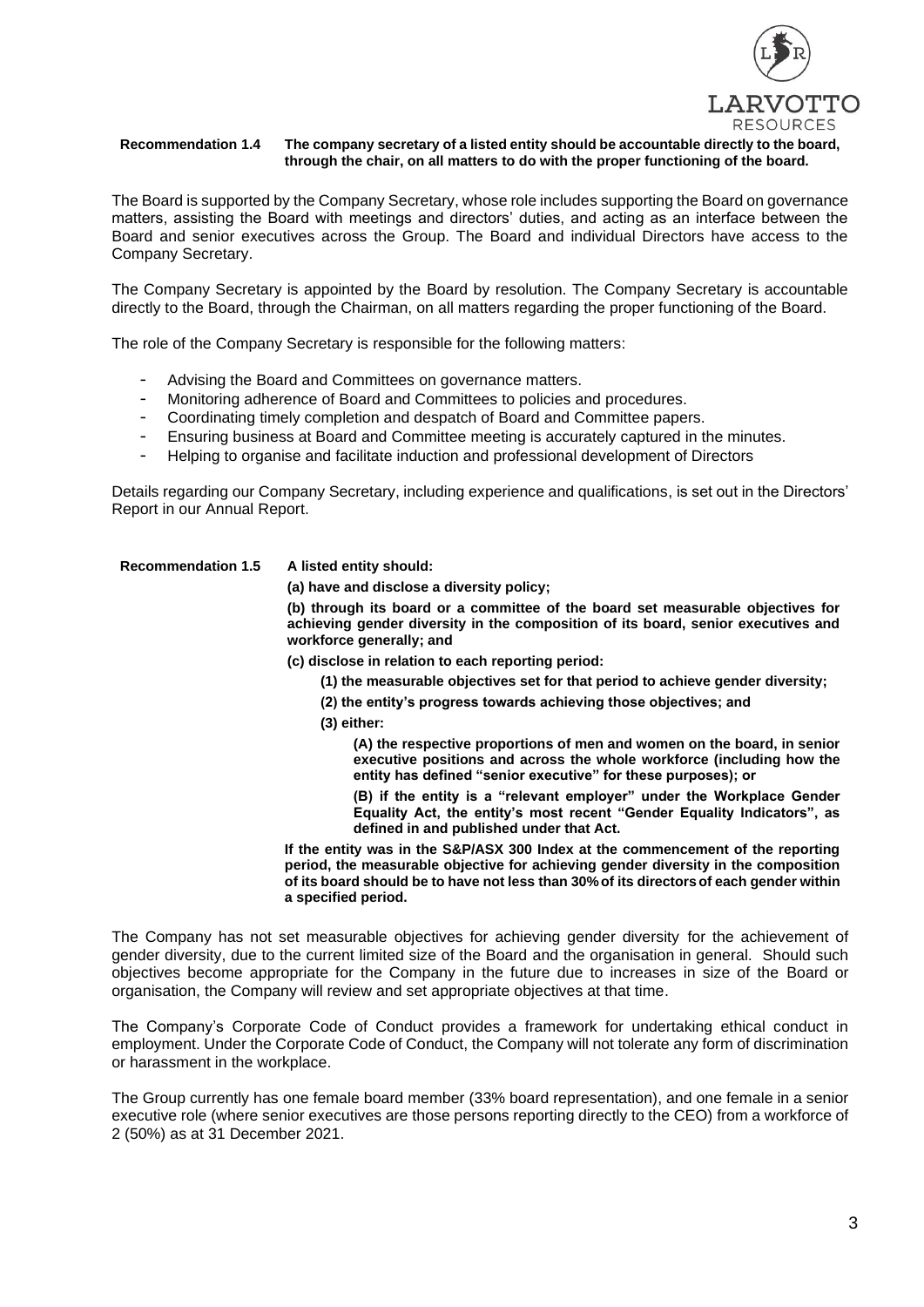

#### **Recommendation 1.4 The company secretary of a listed entity should be accountable directly to the board, through the chair, on all matters to do with the proper functioning of the board.**

The Board is supported by the Company Secretary, whose role includes supporting the Board on governance matters, assisting the Board with meetings and directors' duties, and acting as an interface between the Board and senior executives across the Group. The Board and individual Directors have access to the Company Secretary.

The Company Secretary is appointed by the Board by resolution. The Company Secretary is accountable directly to the Board, through the Chairman, on all matters regarding the proper functioning of the Board.

The role of the Company Secretary is responsible for the following matters:

- Advising the Board and Committees on governance matters.
- Monitoring adherence of Board and Committees to policies and procedures.
- Coordinating timely completion and despatch of Board and Committee papers.
- Ensuring business at Board and Committee meeting is accurately captured in the minutes.
- Helping to organise and facilitate induction and professional development of Directors

Details regarding our Company Secretary, including experience and qualifications, is set out in the Directors' Report in our Annual Report.

# **Recommendation 1.5 A listed entity should:**

**(a) have and disclose a diversity policy;**

**(b) through its board or a committee of the board set measurable objectives for achieving gender diversity in the composition of its board, senior executives and workforce generally; and**

**(c) disclose in relation to each reporting period:**

- **(1) the measurable objectives set for that period to achieve gender diversity;**
- **(2) the entity's progress towards achieving those objectives; and**
- **(3) either:**

**(A) the respective proportions of men and women on the board, in senior executive positions and across the whole workforce (including how the entity has defined "senior executive" for these purposes); or**

**(B) if the entity is a "relevant employer" under the Workplace Gender Equality Act, the entity's most recent "Gender Equality Indicators", as defined in and published under that Act.**

**If the entity was in the S&P/ASX 300 Index at the commencement of the reporting period, the measurable objective for achieving gender diversity in the composition of its board should be to have not less than 30%of its directorsof each gender within a specified period.**

The Company has not set measurable objectives for achieving gender diversity for the achievement of gender diversity, due to the current limited size of the Board and the organisation in general. Should such objectives become appropriate for the Company in the future due to increases in size of the Board or organisation, the Company will review and set appropriate objectives at that time.

The Company's Corporate Code of Conduct provides a framework for undertaking ethical conduct in employment. Under the Corporate Code of Conduct, the Company will not tolerate any form of discrimination or harassment in the workplace.

The Group currently has one female board member (33% board representation), and one female in a senior executive role (where senior executives are those persons reporting directly to the CEO) from a workforce of 2 (50%) as at 31 December 2021.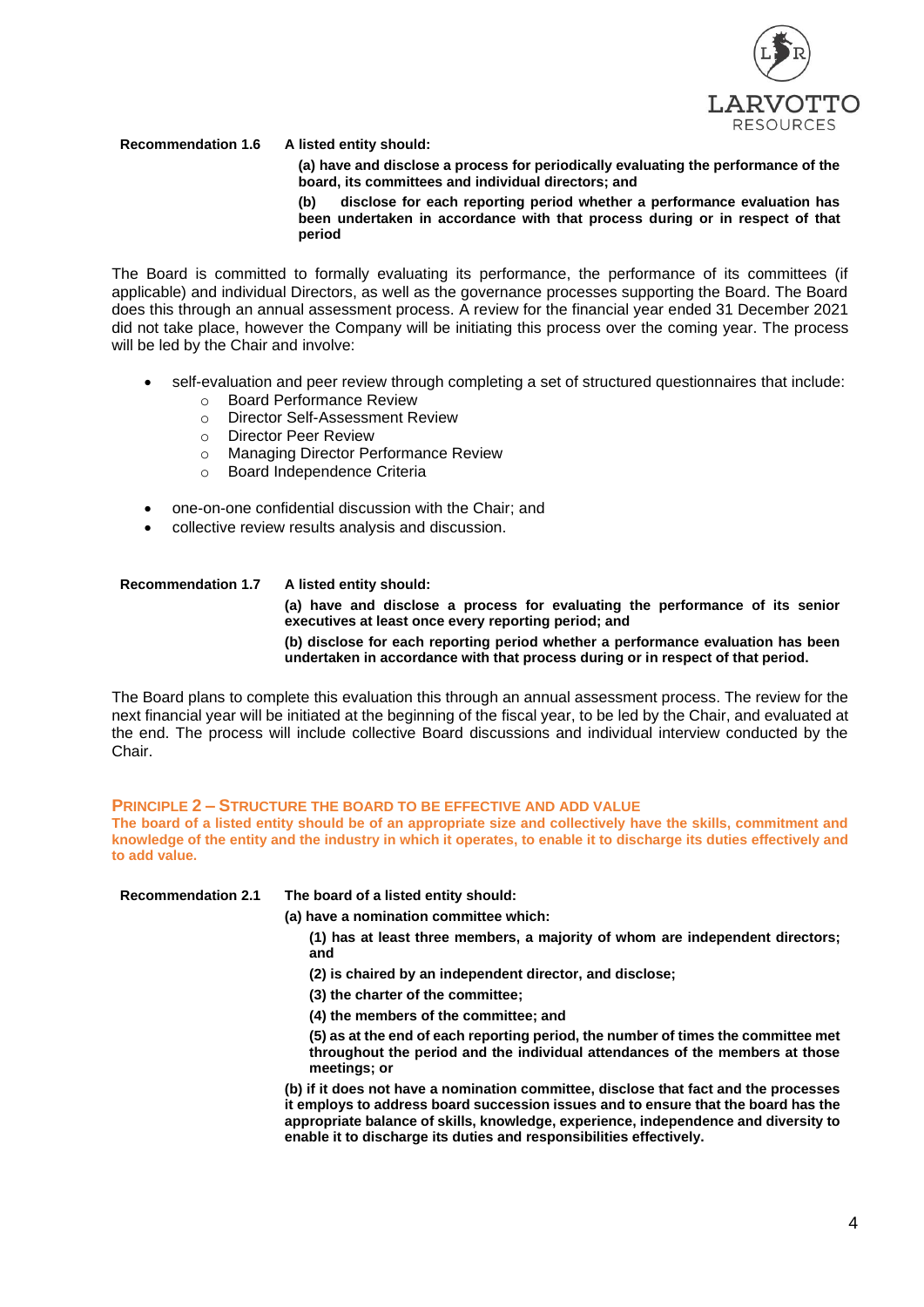

**Recommendation 1.6 A listed entity should:**

**(a) have and disclose a process for periodically evaluating the performance of the board, its committees and individual directors; and**

**(b) disclose for each reporting period whether a performance evaluation has been undertaken in accordance with that process during or in respect of that period**

The Board is committed to formally evaluating its performance, the performance of its committees (if applicable) and individual Directors, as well as the governance processes supporting the Board. The Board does this through an annual assessment process. A review for the financial year ended 31 December 2021 did not take place, however the Company will be initiating this process over the coming year. The process will be led by the Chair and involve:

- self-evaluation and peer review through completing a set of structured questionnaires that include:
	- o Board Performance Review
	- o Director Self-Assessment Review
	- o Director Peer Review
	- o Managing Director Performance Review
	- o Board Independence Criteria
- one-on-one confidential discussion with the Chair; and
- collective review results analysis and discussion.

# **Recommendation 1.7 A listed entity should:**

**(a) have and disclose a process for evaluating the performance of its senior executives at least once every reporting period; and**

**(b) disclose for each reporting period whether a performance evaluation has been undertaken in accordance with that process during or in respect of that period.**

The Board plans to complete this evaluation this through an annual assessment process. The review for the next financial year will be initiated at the beginning of the fiscal year, to be led by the Chair, and evaluated at the end. The process will include collective Board discussions and individual interview conducted by the Chair.

# **PRINCIPLE 2 – STRUCTURE THE BOARD TO BE EFFECTIVE AND ADD VALUE**

**The board of a listed entity should be of an appropriate size and collectively have the skills, commitment and knowledge of the entity and the industry in which it operates, to enable it to discharge its duties effectively and to add value.**

| <b>Recommendation 2.1</b> | The board of a listed entity should:                                                                                                                                                                                                                                                                                                     |
|---------------------------|------------------------------------------------------------------------------------------------------------------------------------------------------------------------------------------------------------------------------------------------------------------------------------------------------------------------------------------|
|                           | (a) have a nomination committee which:                                                                                                                                                                                                                                                                                                   |
|                           | (1) has at least three members, a majority of whom are independent directors;<br>and                                                                                                                                                                                                                                                     |
|                           | (2) is chaired by an independent director, and disclose;                                                                                                                                                                                                                                                                                 |
|                           | (3) the charter of the committee;                                                                                                                                                                                                                                                                                                        |
|                           | (4) the members of the committee; and                                                                                                                                                                                                                                                                                                    |
|                           | (5) as at the end of each reporting period, the number of times the committee met<br>throughout the period and the individual attendances of the members at those<br>meetings; or                                                                                                                                                        |
|                           | (b) if it does not have a nomination committee, disclose that fact and the processes<br>it employs to address board succession issues and to ensure that the board has the<br>appropriate balance of skills, knowledge, experience, independence and diversity to<br>enable it to discharge its duties and responsibilities effectively. |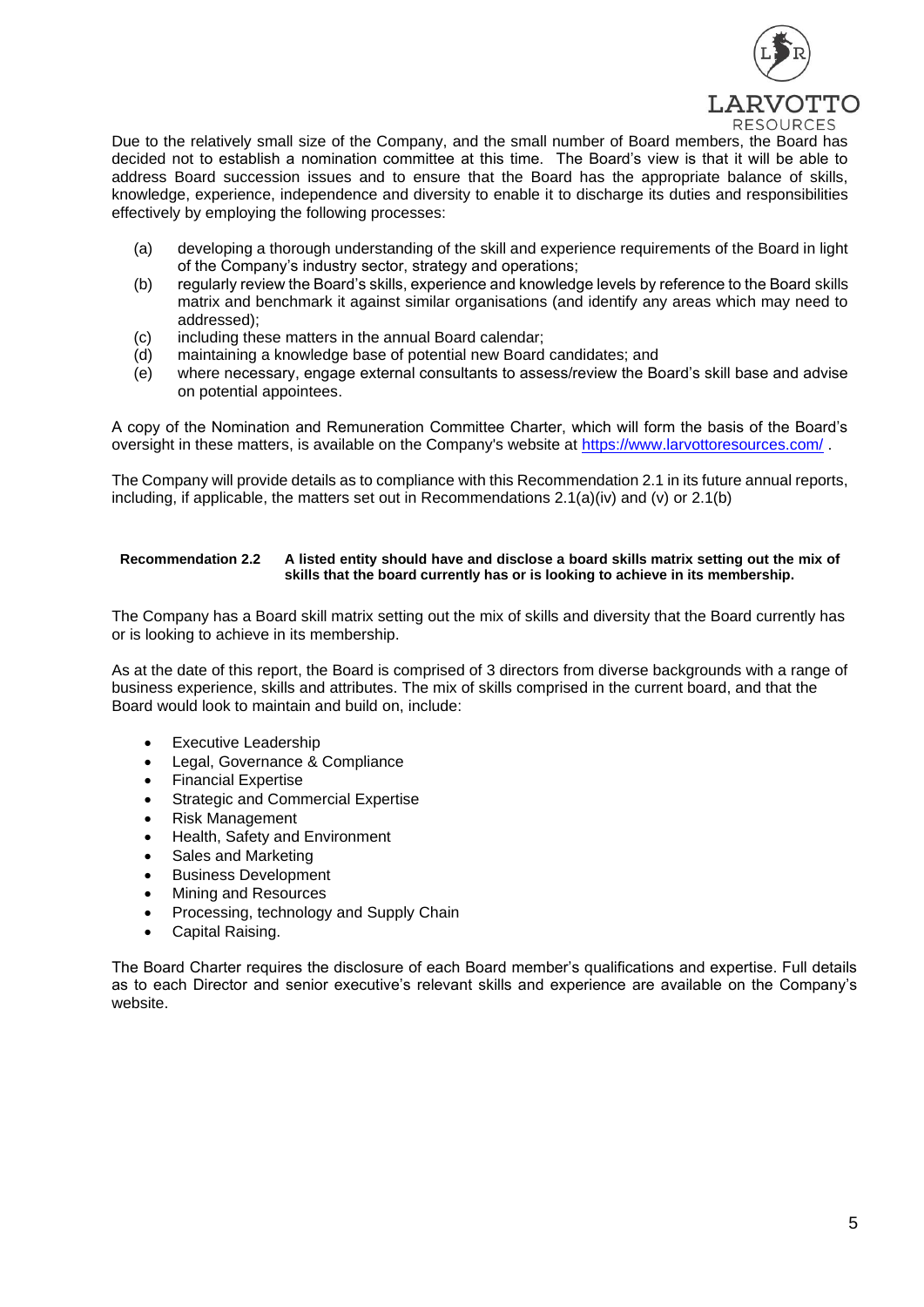

Due to the relatively small size of the Company, and the small number of Board members, the Board has decided not to establish a nomination committee at this time. The Board's view is that it will be able to address Board succession issues and to ensure that the Board has the appropriate balance of skills, knowledge, experience, independence and diversity to enable it to discharge its duties and responsibilities effectively by employing the following processes:

- (a) developing a thorough understanding of the skill and experience requirements of the Board in light of the Company's industry sector, strategy and operations;
- (b) regularly review the Board's skills, experience and knowledge levels by reference to the Board skills matrix and benchmark it against similar organisations (and identify any areas which may need to addressed);
- (c) including these matters in the annual Board calendar;
- (d) maintaining a knowledge base of potential new Board candidates; and
- (e) where necessary, engage external consultants to assess/review the Board's skill base and advise on potential appointees.

A copy of the Nomination and Remuneration Committee Charter, which will form the basis of the Board's oversight in these matters, is available on the Company's website at<https://www.larvottoresources.com/> .

The Company will provide details as to compliance with this Recommendation 2.1 in its future annual reports, including, if applicable, the matters set out in Recommendations 2.1(a)(iv) and (v) or 2.1(b)

# **Recommendation 2.2 A listed entity should have and disclose a board skills matrix setting out the mix of skills that the board currently has or is looking to achieve in its membership.**

The Company has a Board skill matrix setting out the mix of skills and diversity that the Board currently has or is looking to achieve in its membership.

As at the date of this report, the Board is comprised of 3 directors from diverse backgrounds with a range of business experience, skills and attributes. The mix of skills comprised in the current board, and that the Board would look to maintain and build on, include:

- Executive Leadership
- Legal, Governance & Compliance
- Financial Expertise
- Strategic and Commercial Expertise
- Risk Management
- Health, Safety and Environment
- Sales and Marketing
- Business Development
- Mining and Resources
- Processing, technology and Supply Chain
- Capital Raising.

The Board Charter requires the disclosure of each Board member's qualifications and expertise. Full details as to each Director and senior executive's relevant skills and experience are available on the Company's website.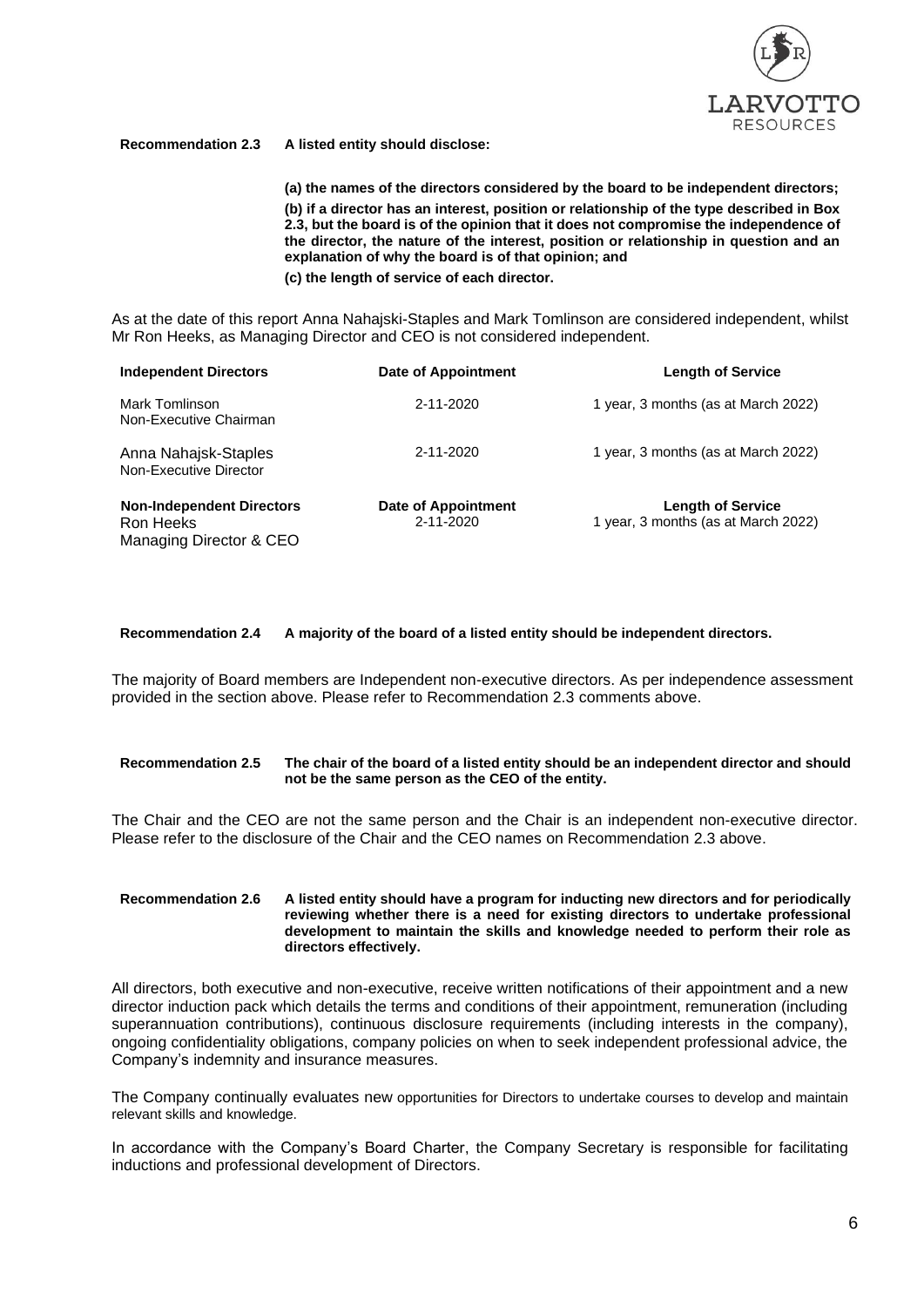

# **Recommendation 2.3 A listed entity should disclose:**

**(a) the names of the directors considered by the board to be independent directors; (b) if a director has an interest, position or relationship of the type described in Box 2.3, but the board is of the opinion that it does not compromise the independence of the director, the nature of the interest, position or relationship in question and an explanation of why the board is of that opinion; and**

**(c) the length of service of each director.**

As at the date of this report Anna Nahajski-Staples and Mark Tomlinson are considered independent, whilst Mr Ron Heeks, as Managing Director and CEO is not considered independent.

| <b>Independent Directors</b>                                             | <b>Date of Appointment</b>              | <b>Length of Service</b>                                        |
|--------------------------------------------------------------------------|-----------------------------------------|-----------------------------------------------------------------|
| Mark Tomlinson<br>Non-Executive Chairman                                 | 2-11-2020                               | 1 year, 3 months (as at March 2022)                             |
| Anna Nahajsk-Staples<br>Non-Executive Director                           | 2-11-2020                               | 1 year, 3 months (as at March 2022)                             |
| <b>Non-Independent Directors</b><br>Ron Heeks<br>Managing Director & CEO | <b>Date of Appointment</b><br>2-11-2020 | <b>Length of Service</b><br>1 year, 3 months (as at March 2022) |

#### **Recommendation 2.4 A majority of the board of a listed entity should be independent directors.**

The majority of Board members are Independent non-executive directors. As per independence assessment provided in the section above. Please refer to Recommendation 2.3 comments above.

#### **Recommendation 2.5 The chair of the board of a listed entity should be an independent director and should not be the same person as the CEO of the entity.**

The Chair and the CEO are not the same person and the Chair is an independent non-executive director. Please refer to the disclosure of the Chair and the CEO names on Recommendation 2.3 above.

#### **Recommendation 2.6 A listed entity should have a program for inducting new directors and for periodically reviewing whether there is a need for existing directors to undertake professional development to maintain the skills and knowledge needed to perform their role as directors effectively.**

All directors, both executive and non-executive, receive written notifications of their appointment and a new director induction pack which details the terms and conditions of their appointment, remuneration (including superannuation contributions), continuous disclosure requirements (including interests in the company), ongoing confidentiality obligations, company policies on when to seek independent professional advice, the Company's indemnity and insurance measures.

The Company continually evaluates new opportunities for Directors to undertake courses to develop and maintain relevant skills and knowledge.

In accordance with the Company's Board Charter, the Company Secretary is responsible for facilitating inductions and professional development of Directors.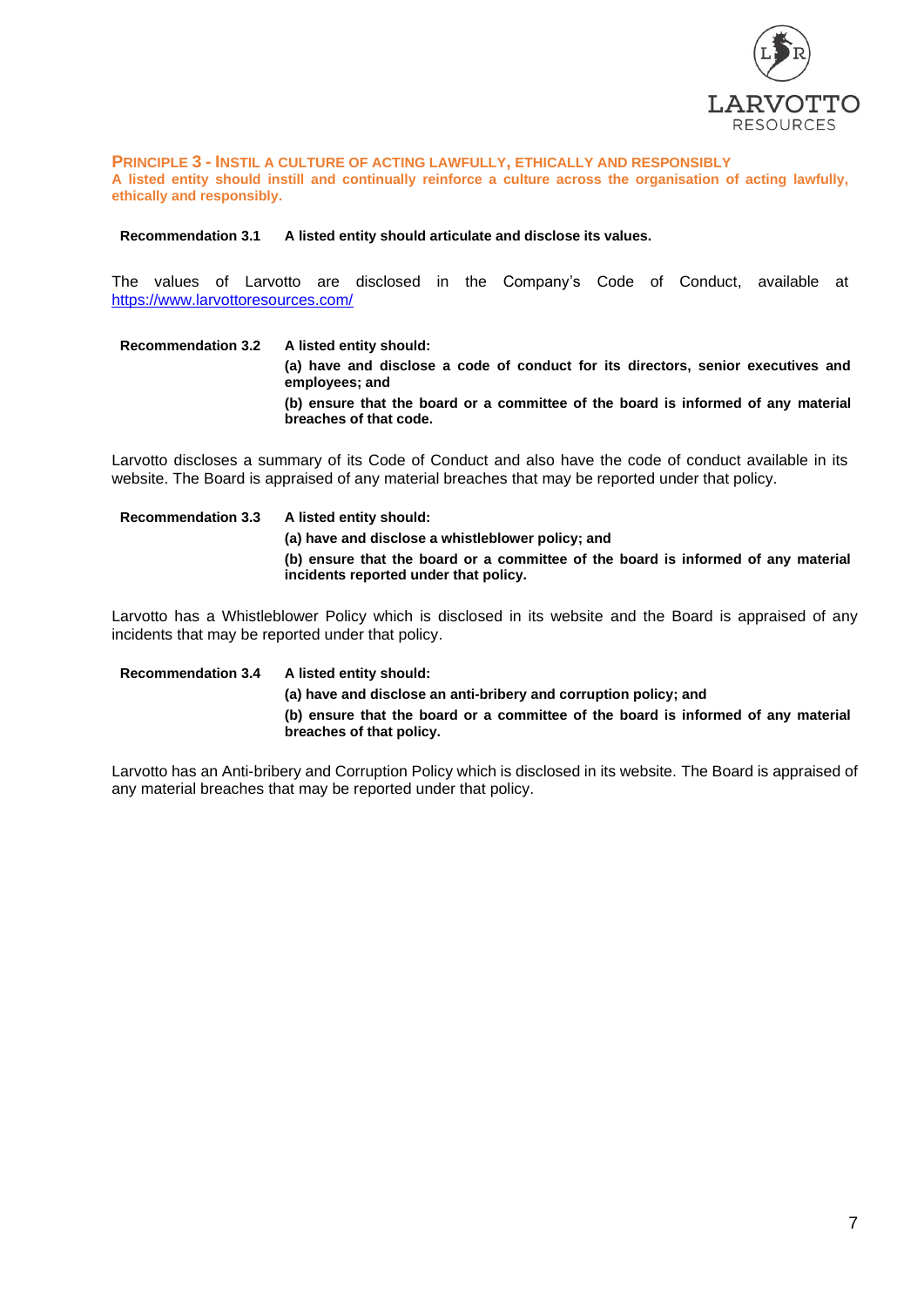

**PRINCIPLE 3 - INSTIL A CULTURE OF ACTING LAWFULLY, ETHICALLY AND RESPONSIBLY A listed entity should instill and continually reinforce a culture across the organisation of acting lawfully, ethically and responsibly.**

**Recommendation 3.1 A listed entity should articulate and disclose its values.**

The values of Larvotto are disclosed in the Company's Code of Conduct, available at <https://www.larvottoresources.com/>

**Recommendation 3.2 A listed entity should: (a) have and disclose a code of conduct for its directors, senior executives and employees; and (b) ensure that the board or a committee of the board is informed of any material breaches of that code.**

Larvotto discloses a summary of its Code of Conduct and also have the code of conduct available in its website. The Board is appraised of any material breaches that may be reported under that policy.

**Recommendation 3.3 A listed entity should: (a) have and disclose a whistleblower policy; and (b) ensure that the board or a committee of the board is informed of any material incidents reported under that policy.**

Larvotto has a Whistleblower Policy which is disclosed in its website and the Board is appraised of any incidents that may be reported under that policy.

**Recommendation 3.4 A listed entity should: (a) have and disclose an anti-bribery and corruption policy; and (b) ensure that the board or a committee of the board is informed of any material breaches of that policy.**

Larvotto has an Anti-bribery and Corruption Policy which is disclosed in its website. The Board is appraised of any material breaches that may be reported under that policy.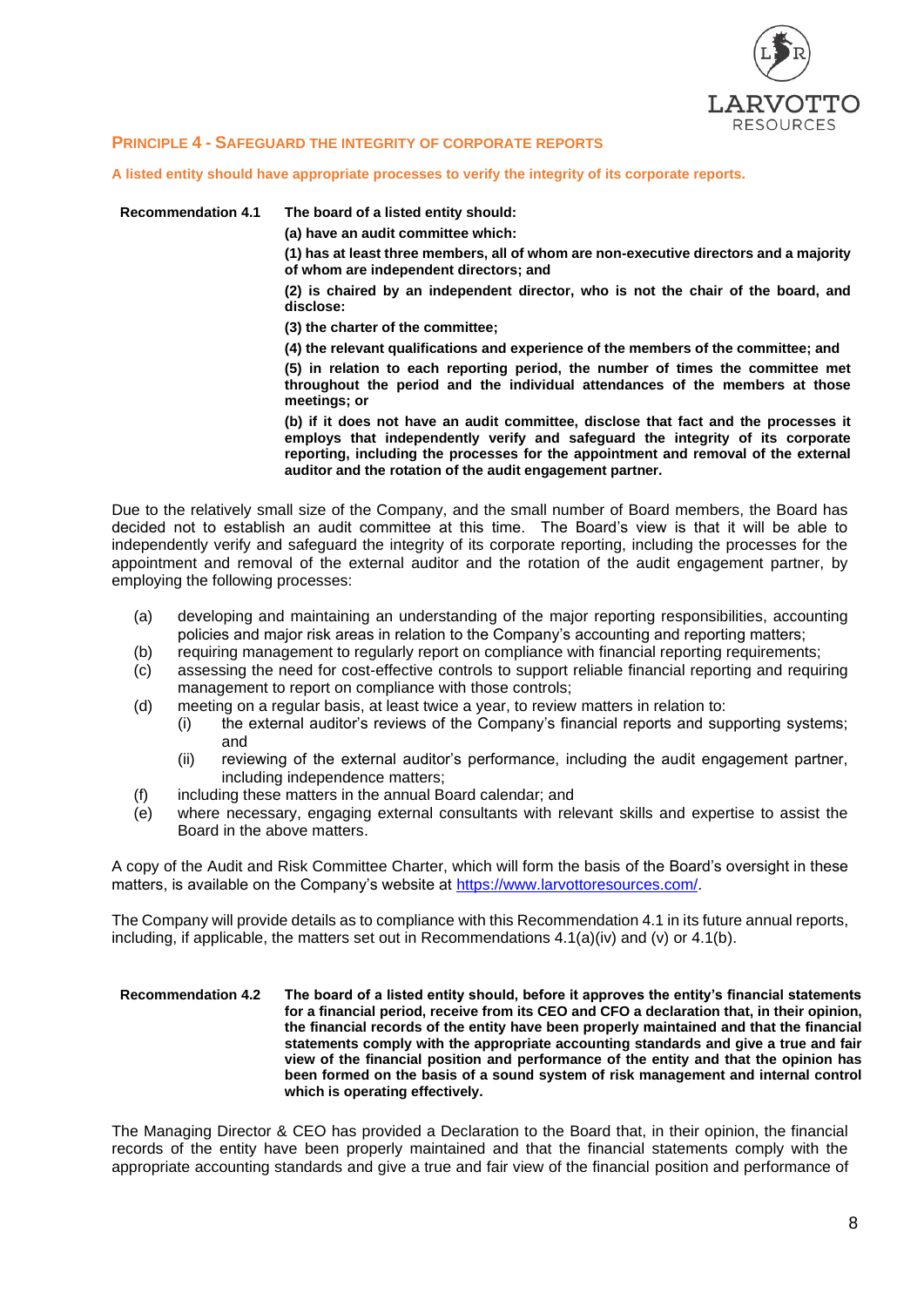

# **PRINCIPLE 4 - SAFEGUARD THE INTEGRITY OF CORPORATE REPORTS**

**A listed entity should have appropriate processes to verify the integrity of its corporate reports.**

**Recommendation 4.1 The board of a listed entity should:**

**(a) have an audit committee which:**

**(1) has at least three members, all of whom are non-executive directors and a majority of whom are independent directors; and**

**(2) is chaired by an independent director, who is not the chair of the board, and disclose:**

**(3) the charter of the committee;**

**(4) the relevant qualifications and experience of the members of the committee; and**

**(5) in relation to each reporting period, the number of times the committee met throughout the period and the individual attendances of the members at those meetings; or**

**(b) if it does not have an audit committee, disclose that fact and the processes it employs that independently verify and safeguard the integrity of its corporate reporting, including the processes for the appointment and removal of the external auditor and the rotation of the audit engagement partner.**

Due to the relatively small size of the Company, and the small number of Board members, the Board has decided not to establish an audit committee at this time. The Board's view is that it will be able to independently verify and safeguard the integrity of its corporate reporting, including the processes for the appointment and removal of the external auditor and the rotation of the audit engagement partner, by employing the following processes:

- (a) developing and maintaining an understanding of the major reporting responsibilities, accounting policies and major risk areas in relation to the Company's accounting and reporting matters;
- (b) requiring management to regularly report on compliance with financial reporting requirements;
- (c) assessing the need for cost-effective controls to support reliable financial reporting and requiring management to report on compliance with those controls;
- (d) meeting on a regular basis, at least twice a year, to review matters in relation to:
	- (i) the external auditor's reviews of the Company's financial reports and supporting systems; and
	- (ii) reviewing of the external auditor's performance, including the audit engagement partner, including independence matters;
- (f) including these matters in the annual Board calendar; and
- (e) where necessary, engaging external consultants with relevant skills and expertise to assist the Board in the above matters.

A copy of the Audit and Risk Committee Charter, which will form the basis of the Board's oversight in these matters, is available on the Company's website at [https://www.larvottoresources.com/.](https://www.larvottoresources.com/)

The Company will provide details as to compliance with this Recommendation 4.1 in its future annual reports, including, if applicable, the matters set out in Recommendations 4.1(a)(iv) and (v) or 4.1(b).

#### **Recommendation 4.2 The board of a listed entity should, before it approves the entity's financial statements for a financial period, receive from its CEO and CFO a declaration that, in their opinion, the financial records of the entity have been properly maintained and that the financial statements comply with the appropriate accounting standards and give a true and fair view of the financial position and performance of the entity and that the opinion has been formed on the basis of a sound system of risk management and internal control which is operating effectively.**

The Managing Director & CEO has provided a Declaration to the Board that, in their opinion, the financial records of the entity have been properly maintained and that the financial statements comply with the appropriate accounting standards and give a true and fair view of the financial position and performance of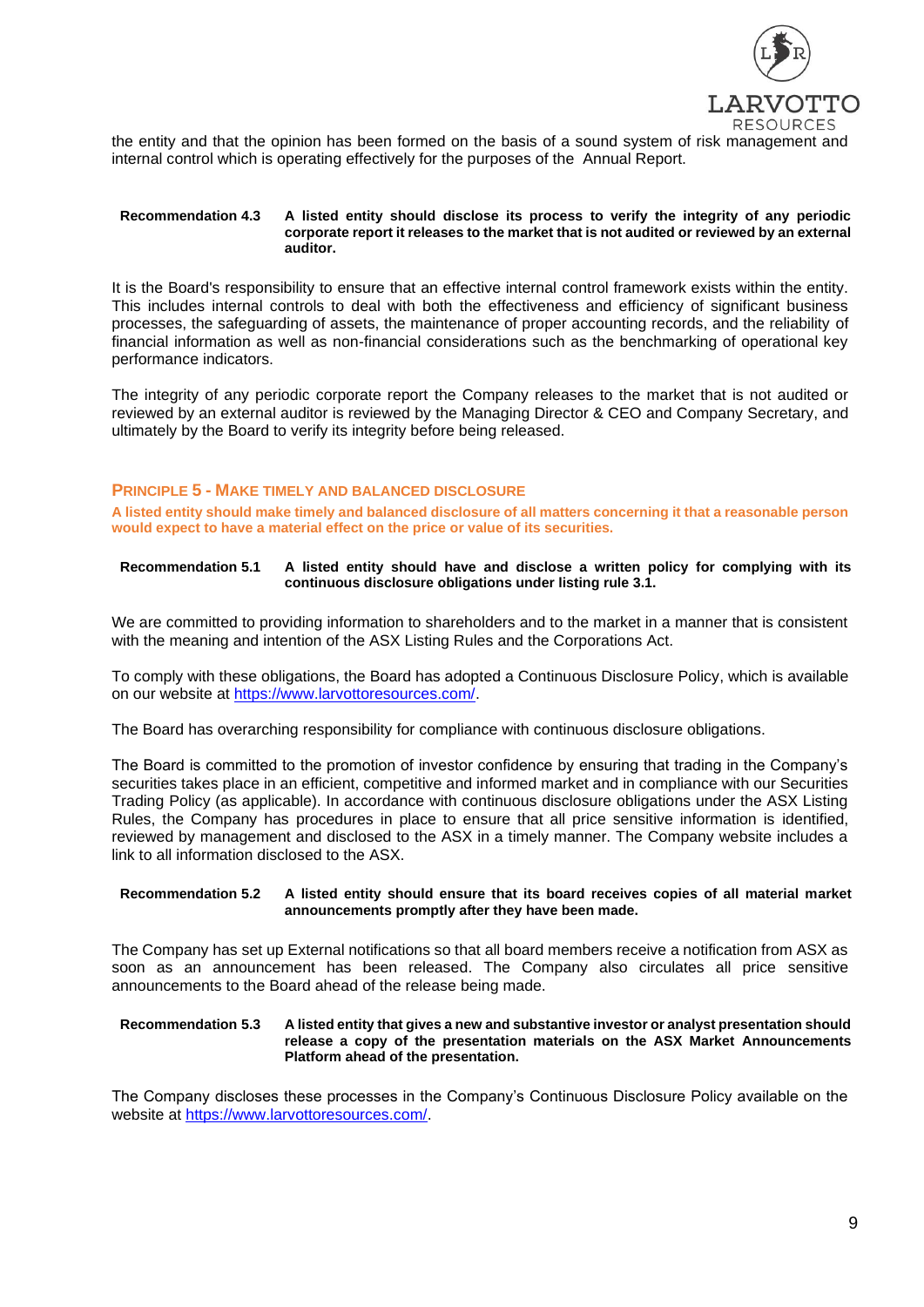

the entity and that the opinion has been formed on the basis of a sound system of risk management and internal control which is operating effectively for the purposes of the Annual Report.

#### **Recommendation 4.3 A listed entity should disclose its process to verify the integrity of any periodic corporate report it releases to the market that is not audited or reviewed by an external auditor.**

It is the Board's responsibility to ensure that an effective internal control framework exists within the entity. This includes internal controls to deal with both the effectiveness and efficiency of significant business processes, the safeguarding of assets, the maintenance of proper accounting records, and the reliability of financial information as well as non-financial considerations such as the benchmarking of operational key performance indicators.

The integrity of any periodic corporate report the Company releases to the market that is not audited or reviewed by an external auditor is reviewed by the Managing Director & CEO and Company Secretary, and ultimately by the Board to verify its integrity before being released.

# **PRINCIPLE 5 - MAKE TIMELY AND BALANCED DISCLOSURE**

**A listed entity should make timely and balanced disclosure of all matters concerning it that a reasonable person would expect to have a material effect on the price or value of its securities.**

### **Recommendation 5.1 A listed entity should have and disclose a written policy for complying with its continuous disclosure obligations under listing rule 3.1.**

We are committed to providing information to shareholders and to the market in a manner that is consistent with the meaning and intention of the ASX Listing Rules and the Corporations Act.

To comply with these obligations, the Board has adopted a Continuous Disclosure Policy, which is available on our website at [https://www.larvottoresources.com/.](https://www.larvottoresources.com/)

The Board has overarching responsibility for compliance with continuous disclosure obligations.

The Board is committed to the promotion of investor confidence by ensuring that trading in the Company's securities takes place in an efficient, competitive and informed market and in compliance with our Securities Trading Policy (as applicable). In accordance with continuous disclosure obligations under the ASX Listing Rules, the Company has procedures in place to ensure that all price sensitive information is identified, reviewed by management and disclosed to the ASX in a timely manner. The Company website includes a link to all information disclosed to the ASX.

#### **Recommendation 5.2 A listed entity should ensure that its board receives copies of all material market announcements promptly after they have been made.**

The Company has set up External notifications so that all board members receive a notification from ASX as soon as an announcement has been released. The Company also circulates all price sensitive announcements to the Board ahead of the release being made.

#### **Recommendation 5.3 A listed entity that gives a new and substantive investor or analyst presentation should release a copy of the presentation materials on the ASX Market Announcements Platform ahead of the presentation.**

The Company discloses these processes in the Company's Continuous Disclosure Policy available on the website at [https://www.larvottoresources.com/.](https://www.larvottoresources.com/)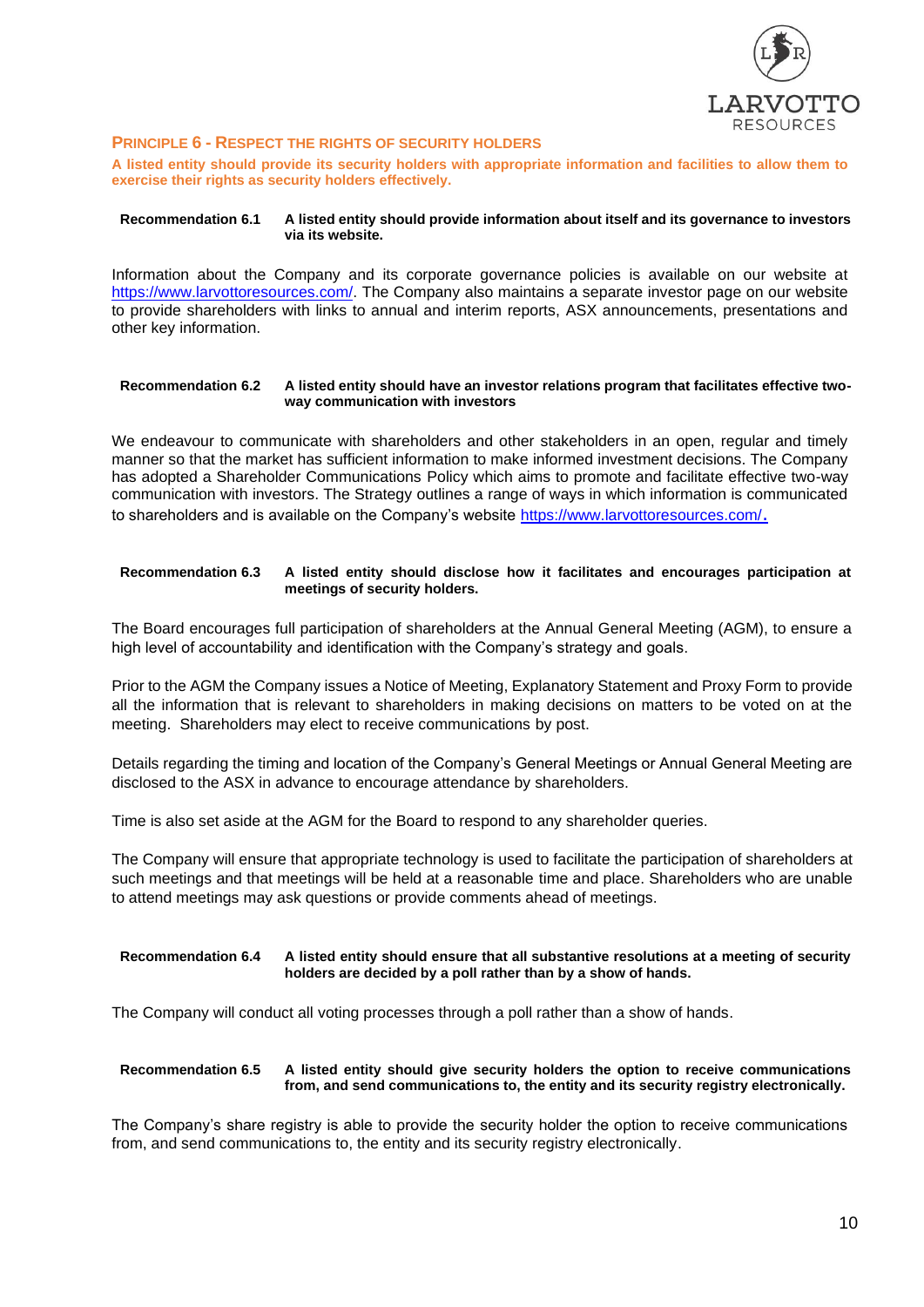

# **PRINCIPLE 6 - RESPECT THE RIGHTS OF SECURITY HOLDERS**

**A listed entity should provide its security holders with appropriate information and facilities to allow them to exercise their rights as security holders effectively.**

#### **Recommendation 6.1 A listed entity should provide information about itself and its governance to investors via its website.**

Information about the Company and its corporate governance policies is available on our website at [https://www.larvottoresources.com/.](https://www.larvottoresources.com/) The Company also maintains a separate investor page on our website to provide shareholders with links to annual and interim reports, ASX announcements, presentations and other key information.

#### **Recommendation 6.2 A listed entity should have an investor relations program that facilitates effective twoway communication with investors**

We endeavour to communicate with shareholders and other stakeholders in an open, regular and timely manner so that the market has sufficient information to make informed investment decisions. The Company has adopted a Shareholder Communications Policy which aims to promote and facilitate effective two-way communication with investors. The Strategy outlines a range of ways in which information is communicated to shareholders and is available on the Company's website<https://www.larvottoresources.com/>.

# **Recommendation 6.3 A listed entity should disclose how it facilitates and encourages participation at meetings of security holders.**

The Board encourages full participation of shareholders at the Annual General Meeting (AGM), to ensure a high level of accountability and identification with the Company's strategy and goals.

Prior to the AGM the Company issues a Notice of Meeting, Explanatory Statement and Proxy Form to provide all the information that is relevant to shareholders in making decisions on matters to be voted on at the meeting. Shareholders may elect to receive communications by post.

Details regarding the timing and location of the Company's General Meetings or Annual General Meeting are disclosed to the ASX in advance to encourage attendance by shareholders.

Time is also set aside at the AGM for the Board to respond to any shareholder queries.

The Company will ensure that appropriate technology is used to facilitate the participation of shareholders at such meetings and that meetings will be held at a reasonable time and place. Shareholders who are unable to attend meetings may ask questions or provide comments ahead of meetings.

#### **Recommendation 6.4 A listed entity should ensure that all substantive resolutions at a meeting of security holders are decided by a poll rather than by a show of hands.**

The Company will conduct all voting processes through a poll rather than a show of hands.

# **Recommendation 6.5 A listed entity should give security holders the option to receive communications from, and send communications to, the entity and its security registry electronically.**

The Company's share registry is able to provide the security holder the option to receive communications from, and send communications to, the entity and its security registry electronically.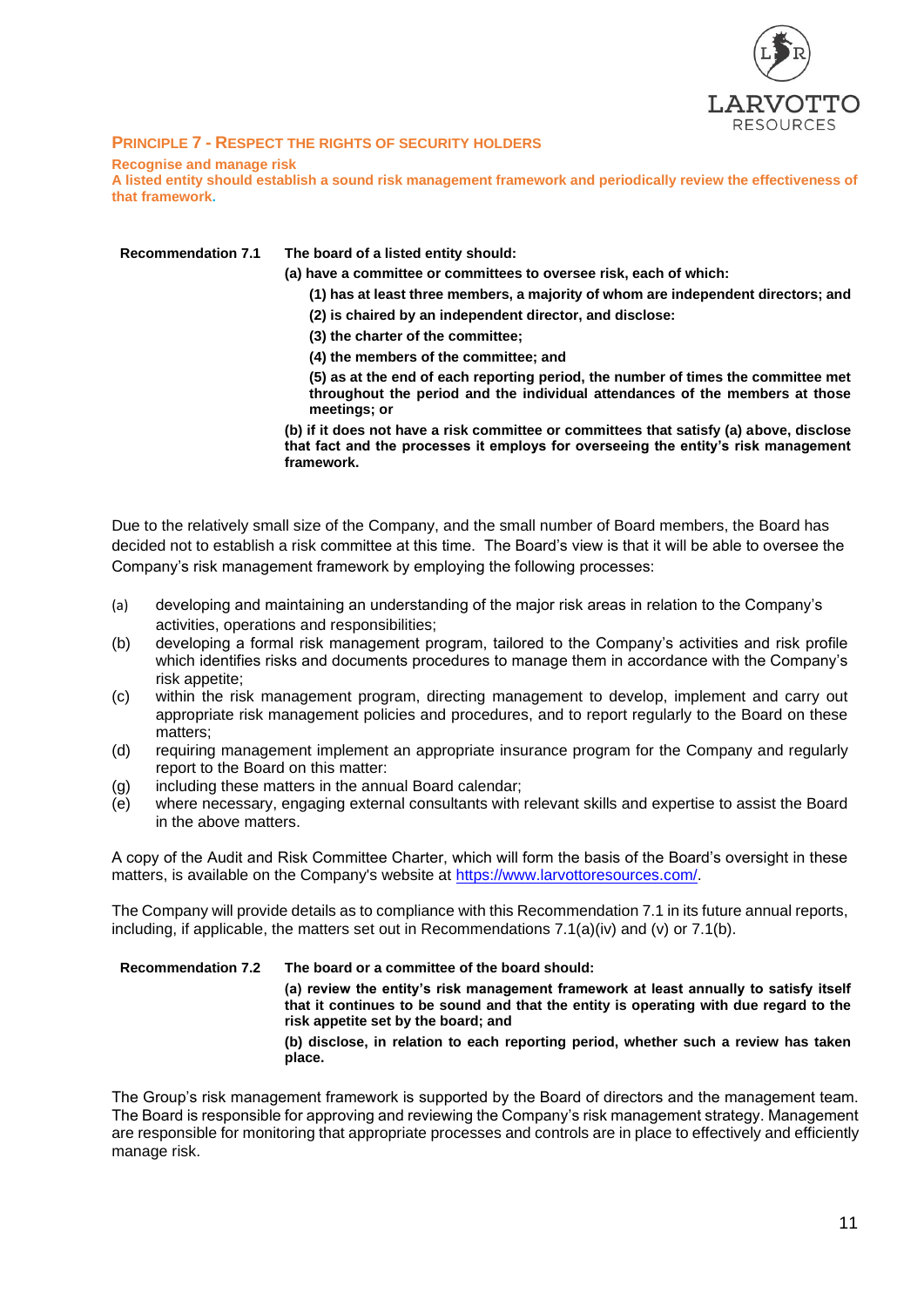

# **PRINCIPLE 7 - RESPECT THE RIGHTS OF SECURITY HOLDERS**

# **Recognise and manage risk**

**A listed entity should establish a sound risk management framework and periodically review the effectiveness of that framework.**

| <b>Recommendation 7.1</b> | The board of a listed entity should:                                                                                                                                              |
|---------------------------|-----------------------------------------------------------------------------------------------------------------------------------------------------------------------------------|
|                           | (a) have a committee or committees to oversee risk, each of which:                                                                                                                |
|                           | (1) has at least three members, a majority of whom are independent directors; and                                                                                                 |
|                           | (2) is chaired by an independent director, and disclose:                                                                                                                          |
|                           | (3) the charter of the committee;                                                                                                                                                 |
|                           | (4) the members of the committee; and                                                                                                                                             |
|                           | (5) as at the end of each reporting period, the number of times the committee met<br>throughout the period and the individual attendances of the members at those<br>meetings; or |

**(b) if it does not have a risk committee or committees that satisfy (a) above, disclose that fact and the processes it employs for overseeing the entity's risk management framework.**

Due to the relatively small size of the Company, and the small number of Board members, the Board has decided not to establish a risk committee at this time. The Board's view is that it will be able to oversee the Company's risk management framework by employing the following processes:

- (a) developing and maintaining an understanding of the major risk areas in relation to the Company's activities, operations and responsibilities;
- (b) developing a formal risk management program, tailored to the Company's activities and risk profile which identifies risks and documents procedures to manage them in accordance with the Company's risk appetite;
- (c) within the risk management program, directing management to develop, implement and carry out appropriate risk management policies and procedures, and to report regularly to the Board on these matters;
- (d) requiring management implement an appropriate insurance program for the Company and regularly report to the Board on this matter:
- (g) including these matters in the annual Board calendar;
- (e) where necessary, engaging external consultants with relevant skills and expertise to assist the Board in the above matters.

A copy of the Audit and Risk Committee Charter, which will form the basis of the Board's oversight in these matters, is available on the Company's website at [https://www.larvottoresources.com/.](https://www.larvottoresources.com/)

The Company will provide details as to compliance with this Recommendation 7.1 in its future annual reports, including, if applicable, the matters set out in Recommendations  $7.1(a)(iv)$  and  $(v)$  or  $7.1(b)$ .

| <b>Recommendation 7.2</b> | The board or a committee of the board should:                                                                                                                                                                         |
|---------------------------|-----------------------------------------------------------------------------------------------------------------------------------------------------------------------------------------------------------------------|
|                           | (a) review the entity's risk management framework at least annually to satisfy itself<br>that it continues to be sound and that the entity is operating with due regard to the<br>risk appetite set by the board; and |
|                           | (b) disclose, in relation to each reporting period, whether such a review has taken<br>place.                                                                                                                         |

The Group's risk management framework is supported by the Board of directors and the management team. The Board is responsible for approving and reviewing the Company's risk management strategy. Management are responsible for monitoring that appropriate processes and controls are in place to effectively and efficiently manage risk.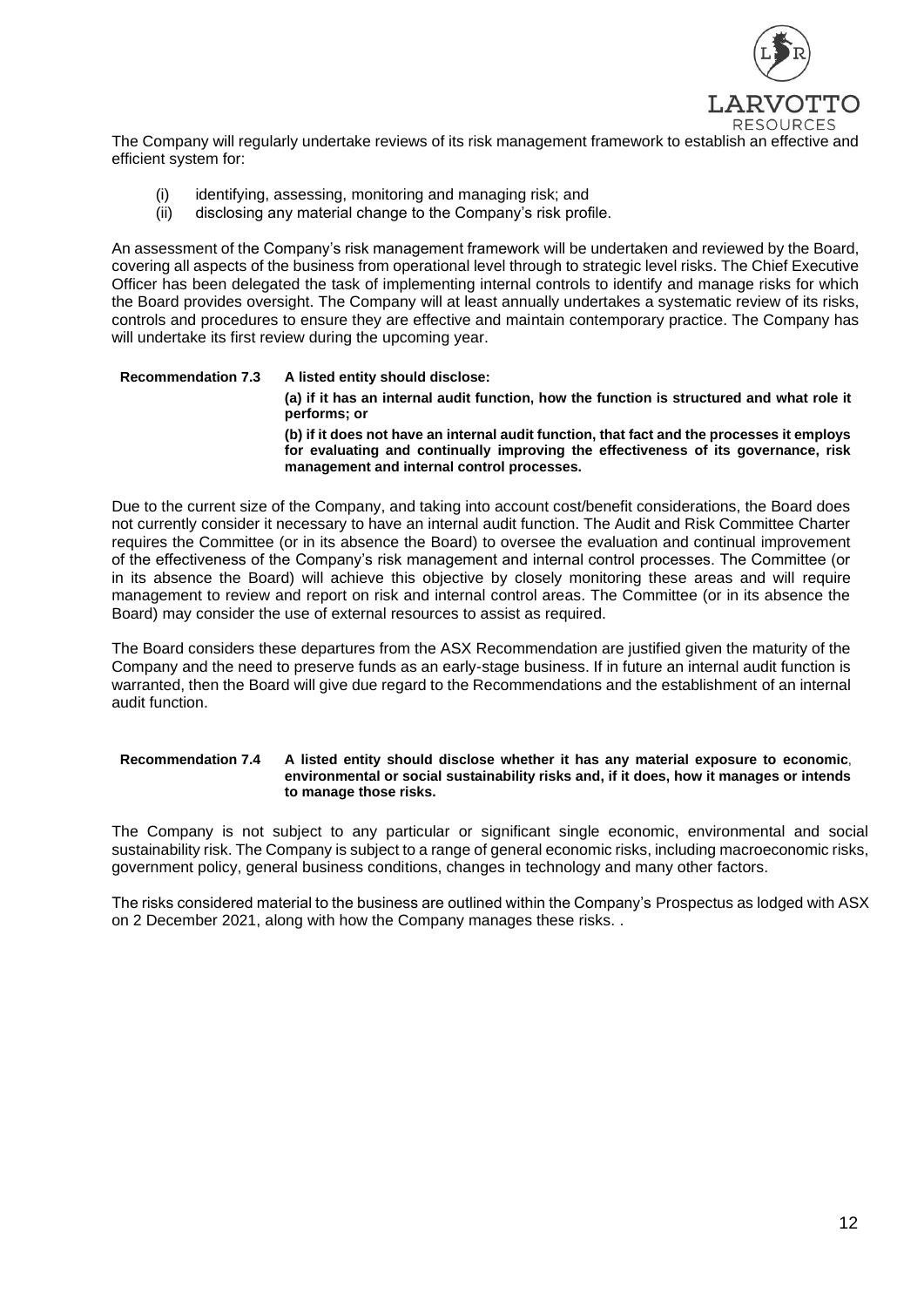

The Company will regularly undertake reviews of its risk management framework to establish an effective and efficient system for:

- (i) identifying, assessing, monitoring and managing risk; and
- (ii) disclosing any material change to the Company's risk profile.

An assessment of the Company's risk management framework will be undertaken and reviewed by the Board, covering all aspects of the business from operational level through to strategic level risks. The Chief Executive Officer has been delegated the task of implementing internal controls to identify and manage risks for which the Board provides oversight. The Company will at least annually undertakes a systematic review of its risks, controls and procedures to ensure they are effective and maintain contemporary practice. The Company has will undertake its first review during the upcoming year.

# **Recommendation 7.3 A listed entity should disclose: (a) if it has an internal audit function, how the function is structured and what role it performs; or (b) if it does not have an internal audit function, that fact and the processes it employs for evaluating and continually improving the effectiveness of its governance, risk management and internal control processes.**

Due to the current size of the Company, and taking into account cost/benefit considerations, the Board does not currently consider it necessary to have an internal audit function. The Audit and Risk Committee Charter requires the Committee (or in its absence the Board) to oversee the evaluation and continual improvement of the effectiveness of the Company's risk management and internal control processes. The Committee (or in its absence the Board) will achieve this objective by closely monitoring these areas and will require management to review and report on risk and internal control areas. The Committee (or in its absence the Board) may consider the use of external resources to assist as required.

The Board considers these departures from the ASX Recommendation are justified given the maturity of the Company and the need to preserve funds as an early-stage business. If in future an internal audit function is warranted, then the Board will give due regard to the Recommendations and the establishment of an internal audit function.

### **Recommendation 7.4 A listed entity should disclose whether it has any material exposure to economic**, **environmental or social sustainability risks and, if it does, how it manages or intends to manage those risks.**

The Company is not subject to any particular or significant single economic, environmental and social sustainability risk. The Company is subject to a range of general economic risks, including macroeconomic risks, government policy, general business conditions, changes in technology and many other factors.

The risks considered material to the business are outlined within the Company's Prospectus as lodged with ASX on 2 December 2021, along with how the Company manages these risks. .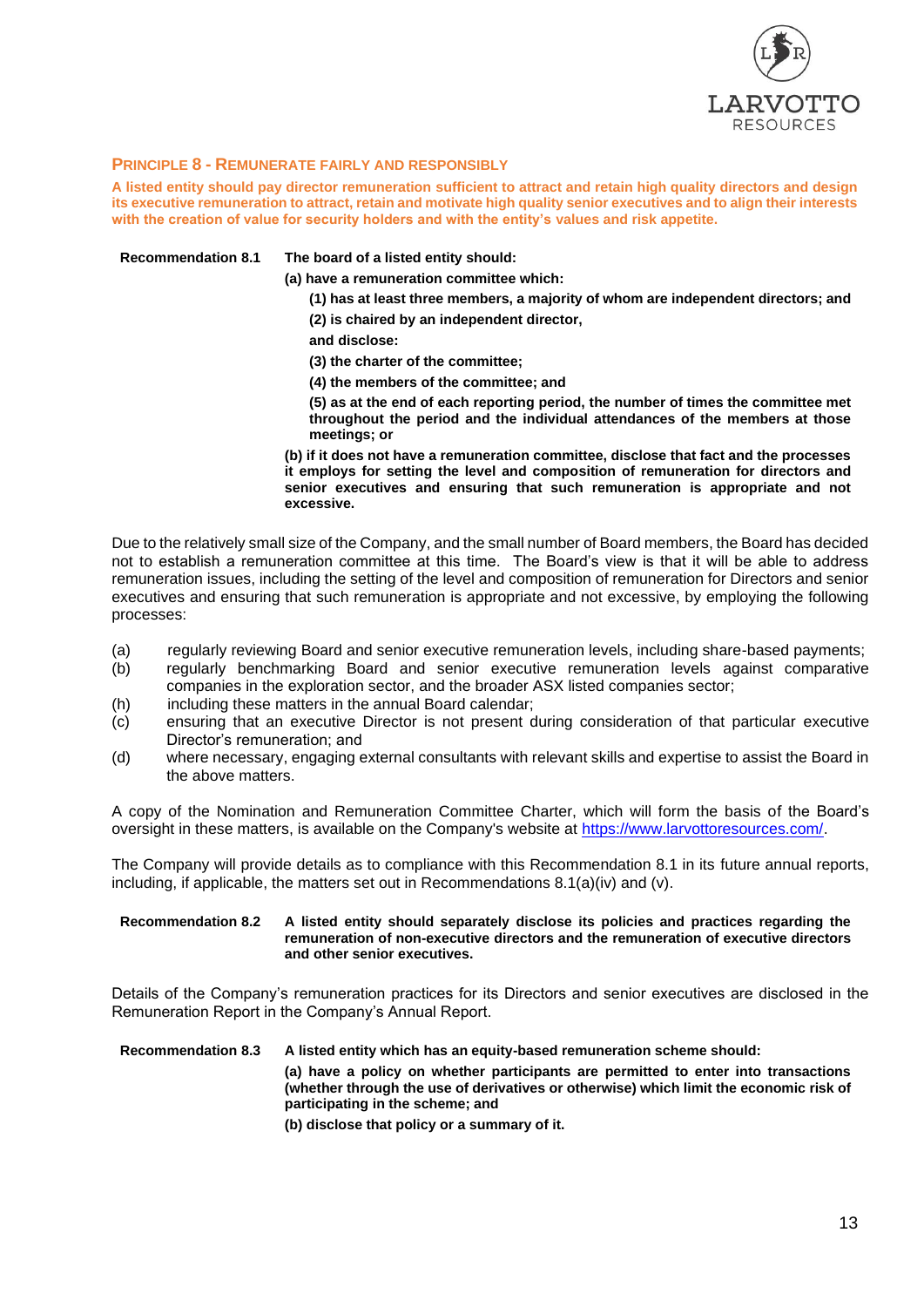

# **PRINCIPLE 8 - REMUNERATE FAIRLY AND RESPONSIBLY**

**A listed entity should pay director remuneration sufficient to attract and retain high quality directors and design its executive remuneration to attract, retain and motivate high quality senior executives and to align their interests with the creation of value for security holders and with the entity's values and risk appetite.**

**Recommendation 8.1 The board of a listed entity should:**

**(a) have a remuneration committee which:**

- **(1) has at least three members, a majority of whom are independent directors; and**
- **(2) is chaired by an independent director,**
- **and disclose:**

**(3) the charter of the committee;**

**(4) the members of the committee; and**

**(5) as at the end of each reporting period, the number of times the committee met throughout the period and the individual attendances of the members at those meetings; or**

**(b) if it does not have a remuneration committee, disclose that fact and the processes it employs for setting the level and composition of remuneration for directors and senior executives and ensuring that such remuneration is appropriate and not excessive.**

Due to the relatively small size of the Company, and the small number of Board members, the Board has decided not to establish a remuneration committee at this time. The Board's view is that it will be able to address remuneration issues, including the setting of the level and composition of remuneration for Directors and senior executives and ensuring that such remuneration is appropriate and not excessive, by employing the following processes:

- (a) regularly reviewing Board and senior executive remuneration levels, including share-based payments;
- (b) regularly benchmarking Board and senior executive remuneration levels against comparative companies in the exploration sector, and the broader ASX listed companies sector;
- (h) including these matters in the annual Board calendar;
- (c) ensuring that an executive Director is not present during consideration of that particular executive Director's remuneration; and
- (d) where necessary, engaging external consultants with relevant skills and expertise to assist the Board in the above matters.

A copy of the Nomination and Remuneration Committee Charter, which will form the basis of the Board's oversight in these matters, is available on the Company's website at [https://www.larvottoresources.com/.](https://www.larvottoresources.com/)

The Company will provide details as to compliance with this Recommendation 8.1 in its future annual reports, including, if applicable, the matters set out in Recommendations  $8.1(a)(iv)$  and  $(v)$ .

#### **Recommendation 8.2 A listed entity should separately disclose its policies and practices regarding the remuneration of non-executive directors and the remuneration of executive directors and other senior executives.**

Details of the Company's remuneration practices for its Directors and senior executives are disclosed in the Remuneration Report in the Company's Annual Report.

#### **Recommendation 8.3 A listed entity which has an equity-based remuneration scheme should:**

**(a) have a policy on whether participants are permitted to enter into transactions (whether through the use of derivatives or otherwise) which limit the economic risk of participating in the scheme; and**

**(b) disclose that policy or a summary of it.**